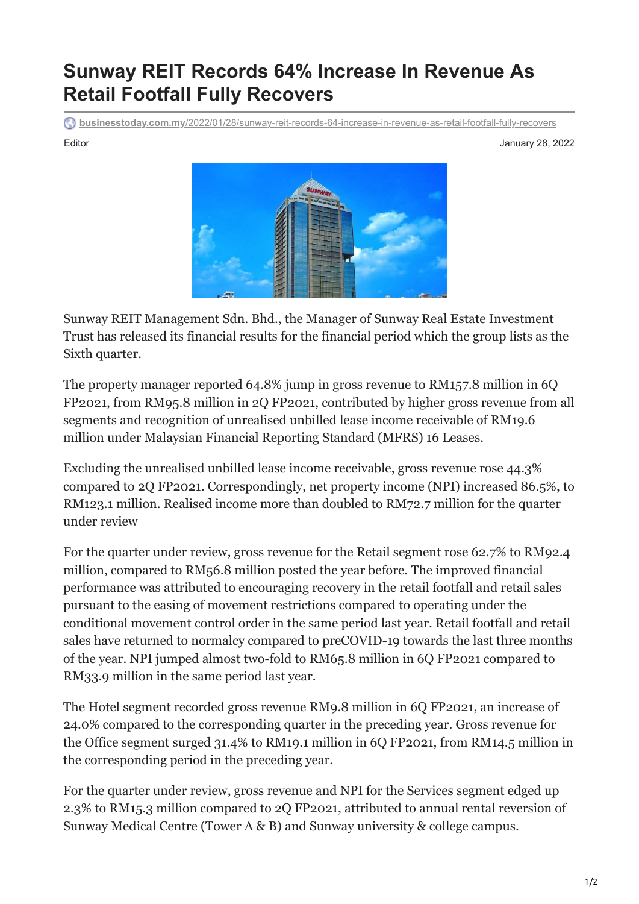## **Sunway REIT Records 64% Increase In Revenue As Retail Footfall Fully Recovers**

**businesstoday.com.my**[/2022/01/28/sunway-reit-records-64-increase-in-revenue-as-retail-footfall-fully-recovers](https://www.businesstoday.com.my/2022/01/28/sunway-reit-records-64-increase-in-revenue-as-retail-footfall-fully-recovers/)

Editor January 28, 2022



Sunway REIT Management Sdn. Bhd., the Manager of Sunway Real Estate Investment Trust has released its financial results for the financial period which the group lists as the Sixth quarter.

The property manager reported 64.8% jump in gross revenue to RM157.8 million in 6Q FP2021, from RM95.8 million in 2Q FP2021, contributed by higher gross revenue from all segments and recognition of unrealised unbilled lease income receivable of RM19.6 million under Malaysian Financial Reporting Standard (MFRS) 16 Leases.

Excluding the unrealised unbilled lease income receivable, gross revenue rose 44.3% compared to 2Q FP2021. Correspondingly, net property income (NPI) increased 86.5%, to RM123.1 million. Realised income more than doubled to RM72.7 million for the quarter under review

For the quarter under review, gross revenue for the Retail segment rose 62.7% to RM92.4 million, compared to RM56.8 million posted the year before. The improved financial performance was attributed to encouraging recovery in the retail footfall and retail sales pursuant to the easing of movement restrictions compared to operating under the conditional movement control order in the same period last year. Retail footfall and retail sales have returned to normalcy compared to preCOVID-19 towards the last three months of the year. NPI jumped almost two-fold to RM65.8 million in 6Q FP2021 compared to RM33.9 million in the same period last year.

The Hotel segment recorded gross revenue RM9.8 million in 6Q FP2021, an increase of 24.0% compared to the corresponding quarter in the preceding year. Gross revenue for the Office segment surged 31.4% to RM19.1 million in 6Q FP2021, from RM14.5 million in the corresponding period in the preceding year.

For the quarter under review, gross revenue and NPI for the Services segment edged up 2.3% to RM15.3 million compared to 2Q FP2021, attributed to annual rental reversion of Sunway Medical Centre (Tower A & B) and Sunway university & college campus.